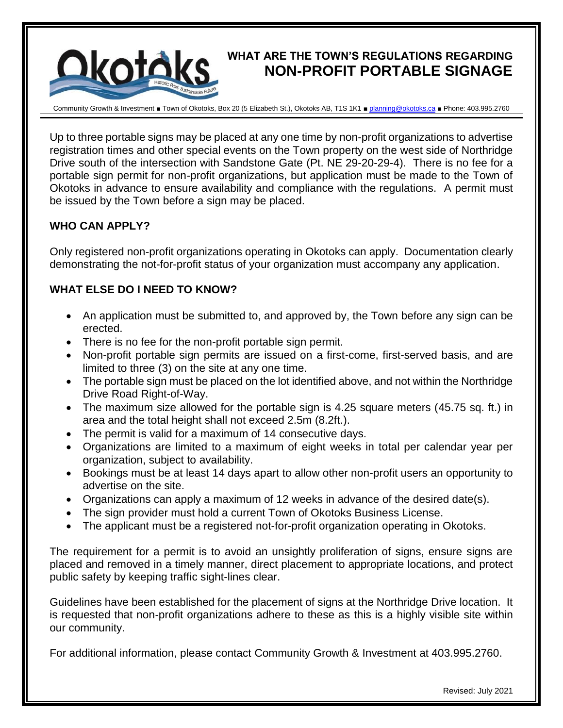## **WHAT ARE THE TOWN'S REGULATIONS REGARDING NON-PROFIT PORTABLE SIGNAGE**



Community Growth & Investment ■ Town of Okotoks, Box 20 (5 Elizabeth St.), Okotoks AB, T1S 1K1 ■ [planning@okotoks.ca](mailto:planning@okotoks.ca) ■ Phone: 403.995.2760

Up to three portable signs may be placed at any one time by non-profit organizations to advertise registration times and other special events on the Town property on the west side of Northridge Drive south of the intersection with Sandstone Gate (Pt. NE 29-20-29-4). There is no fee for a portable sign permit for non-profit organizations, but application must be made to the Town of Okotoks in advance to ensure availability and compliance with the regulations. A permit must be issued by the Town before a sign may be placed.

## **WHO CAN APPLY?**

Only registered non-profit organizations operating in Okotoks can apply. Documentation clearly demonstrating the not-for-profit status of your organization must accompany any application.

## **WHAT ELSE DO I NEED TO KNOW?**

- An application must be submitted to, and approved by, the Town before any sign can be erected.
- There is no fee for the non-profit portable sign permit.
- Non-profit portable sign permits are issued on a first-come, first-served basis, and are limited to three (3) on the site at any one time.
- The portable sign must be placed on the lot identified above, and not within the Northridge Drive Road Right-of-Way.
- The maximum size allowed for the portable sign is 4.25 square meters (45.75 sq. ft.) in area and the total height shall not exceed 2.5m (8.2ft.).
- The permit is valid for a maximum of 14 consecutive days.
- Organizations are limited to a maximum of eight weeks in total per calendar year per organization, subject to availability.
- Bookings must be at least 14 days apart to allow other non-profit users an opportunity to advertise on the site.
- Organizations can apply a maximum of 12 weeks in advance of the desired date(s).
- The sign provider must hold a current Town of Okotoks Business License.
- The applicant must be a registered not-for-profit organization operating in Okotoks.

The requirement for a permit is to avoid an unsightly proliferation of signs, ensure signs are placed and removed in a timely manner, direct placement to appropriate locations, and protect public safety by keeping traffic sight-lines clear.

Guidelines have been established for the placement of signs at the Northridge Drive location. It is requested that non-profit organizations adhere to these as this is a highly visible site within our community.

For additional information, please contact Community Growth & Investment at 403.995.2760.

Revised: July 2021